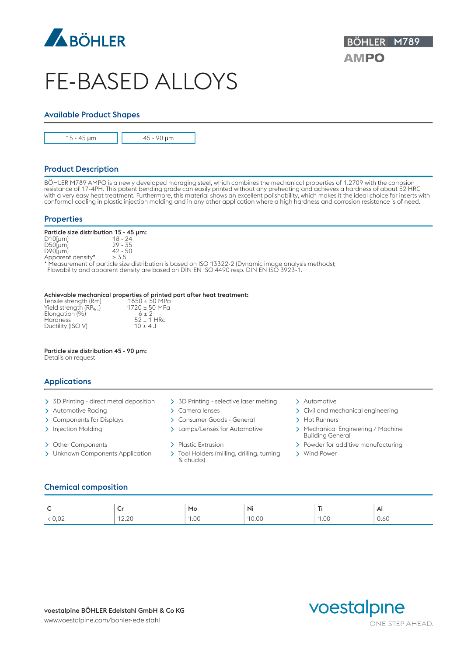

# FE-BASED ALLOYS

# Available Product Shapes



15 - 45 μm **45 - 90 μm** 2

# Product Description

BÖHLER M789 AMPO is a newly developed maraging steel, which combines the mechanical properties of 1.2709 with the corrosion resistance of 17-4PH. This patent bending grade can easily printed without any preheating and achieves a hardness of about 52 HRC with a very easy heat treatment. Furthermore, this material shows an excellent polishability, which makes it the ideal choice for inserts with conformal cooling in plastic injection molding and in any other application where a high hardness and corrosion resistance is of need.

## **Properties**

|            | Particle size distribution 15 - 45 µm: |  |
|------------|----------------------------------------|--|
| $D10$ [µm] | 18 - 24                                |  |
| $D50$ [µm] | $29 - 35$                              |  |

D90[µm] 42 - 50 Apparent density\*  $\geq 3.5$ 

\* Measurement of particle size distribution is based on ISO 13322-2 (Dynamic image analysis methods); Flowability and apparent density are based on DIN EN ISO 4490 resp. DIN EN ISO 3923-1.

#### Achievable mechanical properties of printed part after heat treatment:

| Tensile strength (Rm)      | $1850 \pm 50$ MPa    |  |
|----------------------------|----------------------|--|
| Yield strength (RP $_0,$ ) | 1720 ± 50 MPa        |  |
| Elongation (%)             | $6 + 2$              |  |
| <b>Hardness</b>            | $52 \pm 1$ HRc       |  |
| Ductility (ISO V)          | $10 \pm 4 \text{ J}$ |  |

### Particle size distribution 45 - 90 µm:

Details on request

## Applications

- > 3D Printing direct metal deposition > 3D Printing selective laser melting > Automotive
- 
- 
- 
- 
- $\rightarrow$  Unknown Components Application  $\rightarrow$  Tool Holders (milling, drilling, turning)
- 
- 
- > Components for Displays > Consumer Goods General > Hot Runners
	-
	-
	- & chucks)
- 
- > Automotive Racing > Camera lenses > Civil and mechanical engineering
	-
- > Injection Molding  $\rightarrow$  Lamps/Lenses for Automotive  $\rightarrow$  Mechanical Engineering / Machine Building General
- > Other Components > Plastic Extrusion > Powder for additive manufacturing
	- > Wind Power

# Chemical composition

| ∽<br>∼ | ◡              | Mo   | Ni    | $\sim$ | A              |
|--------|----------------|------|-------|--------|----------------|
| 0,02   | 12.22<br>12.ZU | 1.00 | 10.00 | 1.00   | $\sim$<br>0.60 |